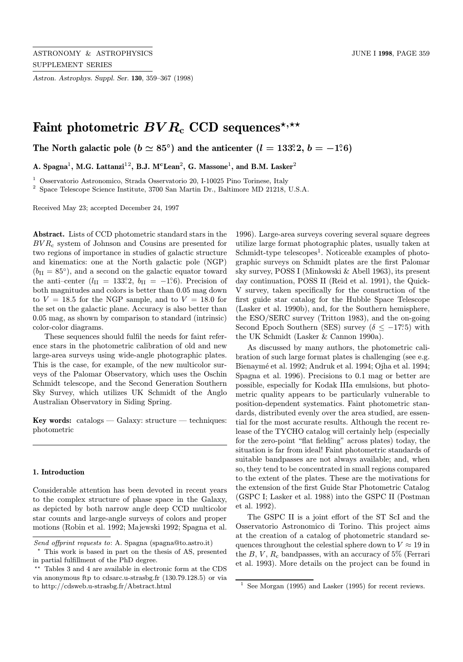Astron. Astrophys. Suppl. Ser. 130, 359–367 (1998)

# Faint photometric  $BVR_c$  CCD sequences<sup>\*,\*\*</sup>

The North galactic pole  $(b \simeq 85^\circ)$  and the anticenter  $(l = 133^\circ\!.2, \, b = -1^\circ\!.6)$ 

A. Spagna<sup>1</sup>, M.G. Lattanzi<sup>12</sup>, B.J. M<sup>c</sup>Lean<sup>2</sup>, G. Massone<sup>1</sup>, and B.M. Lasker<sup>2</sup>

<sup>1</sup> Osservatorio Astronomico, Strada Osservatorio 20, I-10025 Pino Torinese, Italy

 $^2$  Space Telescope Science Institute, 3700 San Martin Dr., Baltimore MD 21218, U.S.A.

Received May 23; accepted December 24, 1997

Abstract. Lists of CCD photometric standard stars in the  $BVR<sub>c</sub>$  system of Johnson and Cousins are presented for two regions of importance in studies of galactic structure and kinematics: one at the North galactic pole (NGP)  $(b_{II} = 85^{\circ})$ , and a second on the galactic equator toward the anti-center  $(l_{II} = 133^\circ.2, b_{II} = -1^\circ.6)$ . Precision of both magnitudes and colors is better than 0.05 mag down to  $V = 18.5$  for the NGP sample, and to  $V = 18.0$  for the set on the galactic plane. Accuracy is also better than 0.05 mag, as shown by comparison to standard (intrinsic) color-color diagrams.

These sequences should fulfil the needs for faint reference stars in the photometric calibration of old and new large-area surveys using wide-angle photographic plates. This is the case, for example, of the new multicolor surveys of the Palomar Observatory, which uses the Oschin Schmidt telescope, and the Second Generation Southern Sky Survey, which utilizes UK Schmidt of the Anglo Australian Observatory in Siding Spring.

Key words: catalogs — Galaxy: structure — techniques: photometric

## 1. Introduction

Considerable attention has been devoted in recent years to the complex structure of phase space in the Galaxy, as depicted by both narrow angle deep CCD multicolor star counts and large-angle surveys of colors and proper motions (Robin et al. 1992; Majewski 1992; Spagna et al.

1996). Large-area surveys covering several square degrees utilize large format photographic plates, usually taken at  $Schmidt-type telescopes<sup>1</sup>. Noticeable examples of photo$ graphic surveys on Schmidt plates are the first Palomar sky survey, POSS I (Minkowski & Abell 1963), its present day continuation, POSS II (Reid et al. 1991), the Quick-V survey, taken specifically for the construction of the first guide star catalog for the Hubble Space Telescope (Lasker et al. 1990b), and, for the Southern hemisphere, the ESO/SERC survey (Tritton 1983), and the on-going Second Epoch Southern (SES) survey ( $\delta \leq -17.5$ ) with the UK Schmidt (Lasker & Cannon 1990a).

As discussed by many authors, the photometric calibration of such large format plates is challenging (see e.g. Bienaymé et al. 1992; Andruk et al. 1994; Ojha et al. 1994; Spagna et al. 1996). Precisions to 0.1 mag or better are possible, especially for Kodak IIIa emulsions, but photometric quality appears to be particularly vulnerable to position-dependent systematics. Faint photometric standards, distributed evenly over the area studied, are essential for the most accurate results. Although the recent release of the TYCHO catalog will certainly help (especially for the zero-point "flat fielding" across plates) today, the situation is far from ideal! Faint photometric standards of suitable bandpasses are not always available; and, when so, they tend to be concentrated in small regions compared to the extent of the plates. These are the motivations for the extension of the first Guide Star Photometric Catalog (GSPC I; Lasker et al. 1988) into the GSPC II (Postman et al. 1992).

The GSPC II is a joint effort of the ST ScI and the Osservatorio Astronomico di Torino. This project aims at the creation of a catalog of photometric standard sequences throughout the celestial sphere down to  $V \approx 19$  in the  $B, V, R_c$  bandpasses, with an accuracy of 5% (Ferrari et al. 1993). More details on the project can be found in

Send offprint requests to: A. Spagna (spagna@to.astro.it)

<sup>?</sup> This work is based in part on the thesis of AS, presented in partial fulfillment of the PhD degree.

 $**$  Tables 3 and 4 are available in electronic form at the CDS via anonymous ftp to cdsarc.u-strasbg.fr (130.79.128.5) or via to http://cdsweb.u-strasbg.fr/Abstract.html

 $1$  See Morgan (1995) and Lasker (1995) for recent reviews.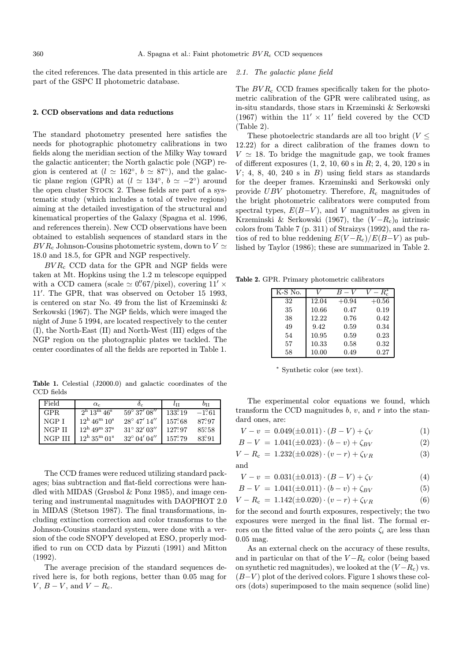the cited references. The data presented in this article are part of the GSPC II photometric database.

## 2.1. The galactic plane field

## 2. CCD observations and data reductions

The standard photometry presented here satisfies the needs for photographic photometry calibrations in two fields along the meridian section of the Milky Way toward the galactic anticenter; the North galactic pole (NGP) region is centered at  $(l \approx 162°, b \approx 87°)$ , and the galactic plane region (GPR) at  $(l \approx 134^\circ, b \approx -2^\circ)$  around the open cluster STOCK 2. These fields are part of a systematic study (which includes a total of twelve regions) aiming at the detailed investigation of the structural and kinematical properties of the Galaxy (Spagna et al. 1996, and references therein). New CCD observations have been obtained to establish sequences of standard stars in the  $BVR_c$  Johnson-Cousins photometric system, down to  $V \simeq$ 18.0 and 18.5, for GPR and NGP respectively.

 $BVR<sub>c</sub>$  CCD data for the GPR and NGP fields were taken at Mt. Hopkins using the 1.2 m telescope equipped with a CCD camera (scale  $\simeq 0''67/\text{pixel}$ ), covering  $11' \times$ 11'. The GPR, that was observed on October 15 1993, is centered on star No. 49 from the list of Krzeminski & Serkowski (1967). The NGP fields, which were imaged the night of June 5 1994, are located respectively to the center (I), the North-East (II) and North-West (III) edges of the NGP region on the photographic plates we tackled. The center coordinates of all the fields are reported in Table 1.

Table 1. Celestial (J2000.0) and galactic coordinates of the CCD fields

| Field   | $\alpha_c$                                   |                         | $l$ tt          | bи             |
|---------|----------------------------------------------|-------------------------|-----------------|----------------|
| GPR.    | $2^{\rm h}$ 13 <sup>m</sup> 46 <sup>s</sup>  | $59^{\circ} 37' 08''$   | $133^\circ 19$  | $-1.61$        |
| NGP I   | $12^{\rm h}$ 46 <sup>m</sup> 10 <sup>s</sup> | $28^{\circ}$ 47' $14''$ | 157.68          | 87.97          |
| NGP II  | $12^{\rm h}$ 49 <sup>m</sup> 37 <sup>s</sup> | $31^{\circ} 32' 03''$   | 127.97          | 85.58          |
| NGP III | $12^{\rm h}$ 35 <sup>m</sup> 01 <sup>s</sup> | $32^{\circ}$ 04' 04"    | $157^{\circ}79$ | $83^{\circ}91$ |

The CCD frames were reduced utilizing standard packages; bias subtraction and flat-field corrections were handled with MIDAS (Grøsbol & Ponz 1985), and image centering and instrumental magnitudes with DAOPHOT 2.0 in MIDAS (Stetson 1987). The final transformations, including extinction correction and color transforms to the Johnson-Cousins standard system, were done with a version of the code SNOPY developed at ESO, properly modified to run on CCD data by Pizzuti (1991) and Mitton (1992).

The average precision of the standard sequences derived here is, for both regions, better than 0.05 mag for  $V, B - V, \text{ and } V - R_c.$ 

The  $BVR_c$  CCD frames specifically taken for the photometric calibration of the GPR were calibrated using, as in-situ standards, those stars in Krzeminski & Serkowski (1967) within the  $11' \times 11'$  field covered by the CCD (Table 2).

These photoelectric standards are all too bright ( $V \leq$ 12.22) for a direct calibration of the frames down to  $V \approx 18$ . To bridge the magnitude gap, we took frames of different exposures (1, 2, 10, 60 s in R; 2, 4, 20, 120 s in  $V$ ; 4, 8, 40, 240 s in B) using field stars as standards for the deeper frames. Krzeminski and Serkowski only provide  $UBV$  photometry. Therefore,  $R_c$  magnitudes of the bright photometric calibrators were computed from spectral types,  $E(B-V)$ , and V magnitudes as given in Krzeminski & Serkowski (1967), the  $(V - R<sub>c</sub>)$ <sub>0</sub> intrinsic colors from Table 7 (p. 311) of Straizys (1992), and the ratios of red to blue reddening  $E(V-R<sub>c</sub>)/E(B-V)$  as published by Taylor (1986); these are summarized in Table 2.

Table 2. GPR. Primary photometric calibrators

| K-S No. |       | $B-V$   | $- R_c^*$ |
|---------|-------|---------|-----------|
| 32      | 12.04 | $+0.94$ | $+0.56$   |
| 35      | 10.66 | 0.47    | 0.19      |
| 38      | 12.22 | 0.76    | 0.42      |
| 49      | 9.42  | 0.59    | 0.34      |
| 54      | 10.95 | 0.59    | 0.23      |
| 57      | 10.33 | 0.58    | 0.32      |
| 58      | 10.00 | 0.49    | 0.27      |

<sup>∗</sup> Synthetic color (see text).

The experimental color equations we found, which transform the CCD magnitudes  $b, v$ , and r into the standard ones, are:

$$
V - v = 0.049(\pm 0.011) \cdot (B - V) + \zeta_V \tag{1}
$$

$$
B - V = 1.041(\pm 0.023) \cdot (b - v) + \zeta_{BV}
$$
 (2)

$$
V - R_c = 1.232(\pm 0.028) \cdot (v - r) + \zeta_{VR}
$$
 (3)  
and

$$
V - v = 0.031(\pm 0.013) \cdot (B - V) + \zeta_V \tag{4}
$$

$$
R = V = 1.041(+0.011)\cdot (h - v) + c_{\text{DL}}\tag{5}
$$

$$
D - V = 1.041(\pm 0.011)^{T} (0 - 0) + \zeta BV
$$

$$
V - R_{\rm c} = 1.142(\pm 0.020) \cdot (v - r) + \zeta_{VR} \tag{6}
$$

for the second and fourth exposures, respectively; the two exposures were merged in the final list. The formal errors on the fitted value of the zero points  $\zeta_i$  are less than 0.05 mag.

As an external check on the accuracy of these results, and in particular on that of the  $V-R<sub>c</sub>$  color (being based on synthetic red magnitudes), we looked at the  $(V - R<sub>c</sub>)$  vs.  $(B-V)$  plot of the derived colors. Figure 1 shows these colors (dots) superimposed to the main sequence (solid line)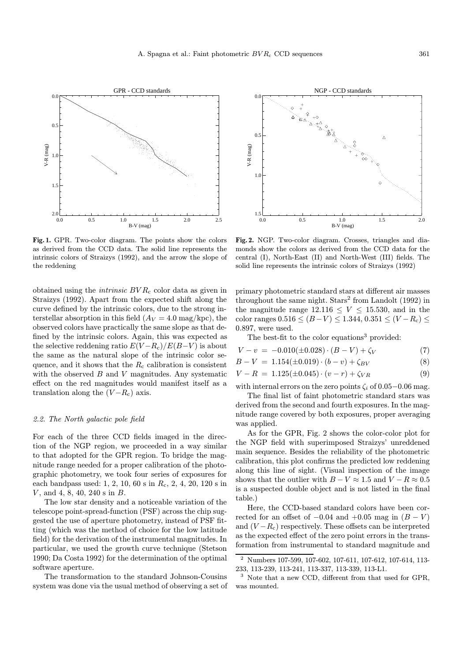

Fig. 1. GPR. Two-color diagram. The points show the colors as derived from the CCD data. The solid line represents the intrinsic colors of Straizys (1992), and the arrow the slope of the reddening

obtained using the *intrinsic*  $BVR_c$  color data as given in Straizys (1992). Apart from the expected shift along the curve defined by the intrinsic colors, due to the strong interstellar absorption in this field  $(A_V = 4.0 \text{ mag/kpc})$ , the observed colors have practically the same slope as that defined by the intrinsic colors. Again, this was expected as the selective reddening ratio  $E(V - R<sub>c</sub>)/E(B - V)$  is about the same as the natural slope of the intrinsic color sequence, and it shows that the  $R_c$  calibration is consistent with the observed  $B$  and  $V$  magnitudes. Any systematic effect on the red magnitudes would manifest itself as a translation along the  $(V - R<sub>c</sub>)$  axis.

### 2.2. The North galactic pole field

For each of the three CCD fields imaged in the direction of the NGP region, we proceeded in a way similar to that adopted for the GPR region. To bridge the magnitude range needed for a proper calibration of the photographic photometry, we took four series of exposures for each bandpass used: 1, 2, 10, 60 s in  $R_c$ , 2, 4, 20, 120 s in V , and 4, 8, 40, 240 s in B.

The low star density and a noticeable variation of the telescope point-spread-function (PSF) across the chip suggested the use of aperture photometry, instead of PSF fitting (which was the method of choice for the low latitude field) for the derivation of the instrumental magnitudes. In particular, we used the growth curve technique (Stetson 1990; Da Costa 1992) for the determination of the optimal software aperture.

The transformation to the standard Johnson-Cousins system was done via the usual method of observing a set of



Fig. 2. NGP. Two-color diagram. Crosses, triangles and diamonds show the colors as derived from the CCD data for the central (I), North-East (II) and North-West (III) fields. The solid line represents the intrinsic colors of Straizys (1992)

primary photometric standard stars at different air masses throughout the same night.  $\text{Stars}^2$  from Landolt (1992) in the magnitude range  $12.116 \leq V \leq 15.530$ , and in the color ranges  $0.516 \le (B-V) \le 1.344$ ,  $0.351 \le (V-R<sub>c</sub>) \le$ 0.897, were used.

The best-fit to the color equations<sup>3</sup> provided:

$$
V - v = -0.010(\pm 0.028) \cdot (B - V) + \zeta_V \tag{7}
$$

$$
B - V = 1.154(\pm 0.019) \cdot (b - v) + \zeta_{BV}
$$
 (8)

$$
V - R = 1.125(\pm 0.045) \cdot (v - r) + \zeta_{VR} \tag{9}
$$

with internal errors on the zero points  $\zeta_i$  of 0.05−0.06 mag.

The final list of faint photometric standard stars was derived from the second and fourth exposures. In the magnitude range covered by both exposures, proper averaging was applied.

As for the GPR, Fig. 2 shows the color-color plot for the NGP field with superimposed Straizys' unreddened main sequence. Besides the reliability of the photometric calibration, this plot confirms the predicted low reddening along this line of sight. (Visual inspection of the image shows that the outlier with  $B - V \approx 1.5$  and  $V - R \approx 0.5$ is a suspected double object and is not listed in the final table.)

Here, the CCD-based standard colors have been corrected for an offset of  $-0.04$  and  $+0.05$  mag in  $(B - V)$ and  $(V - R<sub>c</sub>)$  respectively. These offsets can be interpreted as the expected effect of the zero point errors in the transformation from instrumental to standard magnitude and

<sup>2</sup> Numbers 107-599, 107-602, 107-611, 107-612, 107-614, 113- 233, 113-239, 113-241, 113-337, 113-339, 113-L1.

<sup>&</sup>lt;sup>3</sup> Note that a new CCD, different from that used for GPR, was mounted.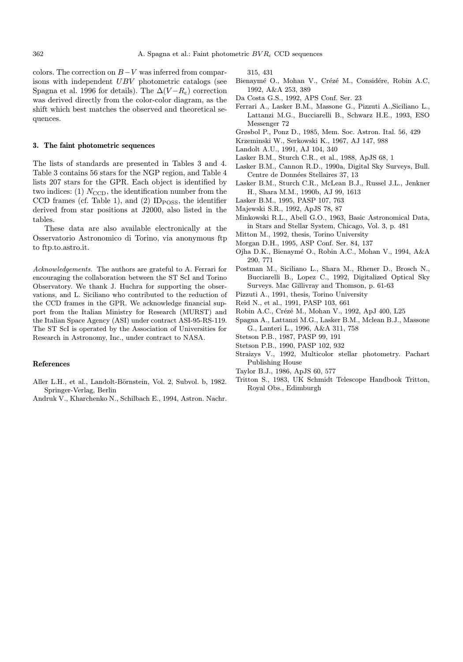colors. The correction on  $B-V$  was inferred from comparisons with independent UBV photometric catalogs (see Spagna et al. 1996 for details). The  $\Delta (V - R_c)$  correction was derived directly from the color-color diagram, as the shift which best matches the observed and theoretical sequences.

### 3. The faint photometric sequences

The lists of standards are presented in Tables 3 and 4. Table 3 contains 56 stars for the NGP region, and Table 4 lists 207 stars for the GPR. Each object is identified by two indices: (1)  $N_{\text{CCD}}$ , the identification number from the CCD frames (cf. Table 1), and (2) ID $_{\rm{POSS}}$ , the identifier derived from star positions at J2000, also listed in the tables.

These data are also available electronically at the Osservatorio Astronomico di Torino, via anonymous ftp to ftp.to.astro.it.

Acknowledgements. The authors are grateful to A. Ferrari for encouraging the collaboration between the ST ScI and Torino Observatory. We thank J. Huchra for supporting the observations, and L. Siciliano who contributed to the reduction of the CCD frames in the GPR. We acknowledge financial support from the Italian Ministry for Research (MURST) and the Italian Space Agency (ASI) under contract ASI-95-RS-119. The ST ScI is operated by the Association of Universities for Research in Astronomy, Inc., under contract to NASA.

### References

- Aller L.H., et al., Landolt-Börnstein, Vol. 2, Subvol. b, 1982. Springer-Verlag, Berlin
- Andruk V., Kharchenko N., Schilbach E., 1994, Astron. Nachr.

315, 431

- Bienaymé O., Mohan V., Crézé M., Considére, Robin A.C, 1992, A&A 253, 389
- Da Costa G.S., 1992, APS Conf. Ser. 23
- Ferrari A., Lasker B.M., Massone G., Pizzuti A.,Siciliano L., Lattanzi M.G., Bucciarelli B., Schwarz H.E., 1993, ESO Messenger 72
- Grøsbol P., Ponz D., 1985, Mem. Soc. Astron. Ital. 56, 429
- Krzeminski W., Serkowski K., 1967, AJ 147, 988
- Landolt A.U., 1991, AJ 104, 340
- Lasker B.M., Sturch C.R., et al., 1988, ApJS 68, 1
- Lasker B.M., Cannon R.D., 1990a, Digital Sky Surveys, Bull. Centre de Données Stellaires 37, 13
- Lasker B.M., Sturch C.R., McLean B.J., Russel J.L., Jenkner H., Shara M.M., 1990b, AJ 99, 1613
- Lasker B.M., 1995, PASP 107, 763
- Majewski S.R., 1992, ApJS 78, 87
- Minkowski R.L., Abell G.O., 1963, Basic Astronomical Data, in Stars and Stellar System, Chicago, Vol. 3, p. 481
- Mitton M., 1992, thesis, Torino University
- Morgan D.H., 1995, ASP Conf. Ser. 84, 137
- Ojha D.K., Bienaym´e O., Robin A.C., Mohan V., 1994, A&A 290, 771
- Postman M., Siciliano L., Shara M., Rhener D., Brosch N., Bucciarelli B., Lopez C., 1992, Digitalized Optical Sky Surveys. Mac Gillivray and Thomson, p. 61-63
- Pizzuti A., 1991, thesis, Torino University
- Reid N., et al., 1991, PASP 103, 661
- Robin A.C., Crézé M., Mohan V., 1992, ApJ 400, L25
- Spagna A., Lattanzi M.G., Lasker B.M., Mclean B.J., Massone G., Lanteri L., 1996, A&A 311, 758
- Stetson P.B., 1987, PASP 99, 191
- Stetson P.B., 1990, PASP 102, 932
- Straizys V., 1992, Multicolor stellar photometry. Pachart Publishing House
- Taylor B.J., 1986, ApJS 60, 577
- Tritton S., 1983, UK Schmidt Telescope Handbook Tritton, Royal Obs., Edimburgh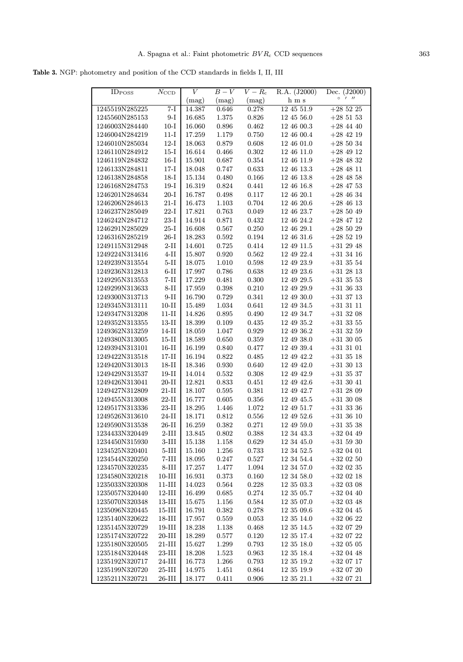Table 3. NGP: photometry and position of the CCD standards in fields I, II, III

| <b>ID</b> <sub>POSS</sub>        | $N_{\rm CCD}$                      | V                    | $B-V$          | $V-R_c$              | R.A. (J2000)                 | Dec. $(J2000)$               |
|----------------------------------|------------------------------------|----------------------|----------------|----------------------|------------------------------|------------------------------|
|                                  |                                    | (mag)                | (mag)          | (mag)                | h m s                        | $\circ$<br>1 <sub>11</sub>   |
| 1245519N285225                   | $7-I$                              | 14.387               | 0.646          | 0.278                | 12 45 51.9                   | $+285225$                    |
| 1245560N285153                   | $9-I$                              | 16.685               | 1.375          | 0.826                | 12 45 56.0                   | $+285153$                    |
| 1246003N284440                   | $10-I$                             | 16.060               | 0.896          | 0.462                | 12 46 00.3                   | $+28$ 44 40                  |
| 1246004N284219                   | $11-I$                             | 17.259               | 1.179          | 0.750                | 12 46 00.4                   | $+284219$                    |
| 1246010N285034                   | $12-I$                             | 18.063               | 0.879          | 0.608                | 12 46 01.0                   | $+28\ 50\ 34$                |
| 1246110N284912                   | $15-I$                             | 16.614               | 0.466          | 0.302                | 12 46 11.0                   | $+284912$                    |
| 1246119N284832                   | $16-I$                             | 15.901               | 0.687          | 0.354                | 12 46 11.9                   | $+284832$                    |
| 1246133N284811                   | $17-I$                             | 18.048               | 0.747          | 0.633                | $12\ 46\ 13.3$               | $+28$ 48 11                  |
| 1246138N284858                   | $18-I$                             | 15.134               | 0.480          | 0.166                | 12 46 13.8                   | $+28$ 48 58                  |
| 1246168N284753                   | $19-I$                             | 16.319               | 0.824          | 0.441                | 12 46 16.8                   | $+28$ 47 53                  |
| 1246201N284634                   | $20-I$                             | 16.787               | 0.498          | 0.117                | 12 46 20.1                   | $+284634$                    |
| 1246206N284613                   | $21-I$                             | 16.473               | 1.103          | 0.704                | 12 46 20.6                   | $+284613$                    |
| 1246237N285049                   | $22-I$                             | 17.821               | 0.763          | 0.049                | 12 46 23.7                   | $+285049$                    |
| 1246242N284712                   | $23-I$                             | 14.914               | 0.871          | 0.432                | 12 46 24.2                   | $+28$ 47 12                  |
| 1246291N285029                   | $25-I$                             | 16.608               | 0.567          | 0.250                | 12 46 29.1                   | $+285029$                    |
| 1246316N285219                   | $26-I$                             | 18.283               | 0.592          | 0.194                | 12 46 31.6                   | $+285219$                    |
| 1249115N312948                   | $2-II$                             | 14.601               | 0.725          | 0.414                | 12 49 11.5                   | $+31$ 29 48                  |
| 1249224N313416                   | $4-II$                             | 15.807               | 0.920          | 0.562                | 12 49 22.4                   | $+31$ 34 16                  |
| 1249239N313554                   | $5-II$                             | 18.075               | 1.010          | 0.598                | 12 49 23.9                   | $+31$ 35 54                  |
| 1249236N312813                   | $6-II$                             | 17.997               | 0.786          | 0.638                | 12 49 23.6                   | $+31$ 28 13                  |
| 1249295N313553                   | $7-II$                             | 17.229               | 0.481          | 0.300                | 12 49 29.5                   | $+31$ 35 53                  |
| 1249299N313633                   | $8-II$                             | 17.959               | 0.398          | 0.210                | 12 49 29.9                   | $+31$ 36 33                  |
| 1249300N313713                   | $9-II$                             | 16.790               | 0.729          | 0.341                | 12 49 30.0                   | $+31$ 37 13                  |
| 1249345N313111                   | $10-II$                            | 15.489               | 1.034          | 0.641                | 12 49 34.5                   | $+31$ 31 11                  |
| 1249347N313208                   | $11-II$                            | 14.826               | 0.895          | 0.490                | 12 49 34.7                   | $+31$ 32 08                  |
| 1249352N313355                   | $13 - I$                           | 18.399               | 0.109          | 0.435                | 12 49 35.2                   | $+31$ 33 55                  |
| 1249362N313259                   | $14-II$                            | 18.059               | 1.047          | 0.929                | 12 49 36.2                   | $+31$ 32 59                  |
| 1249380N313005                   | $15-II$                            | 18.589               | 0.650          | 0.359                | 12 49 38.0                   | $+31$ 30 05                  |
| 1249394N313101                   | $16-II$                            | 16.199               | 0.840          | 0.477                | 12 49 39.4                   | $+31$ 31 01                  |
| 1249422N313518                   | $17 - I$                           | 16.194               | 0.822          | 0.485                | 12 49 42.2                   | $+31\ 35\ 18$                |
| 1249420N313013                   | $18-II$                            | 18.346               | 0.930          | 0.640                | 12 49 42.0                   | $+31$ 30 13                  |
| 1249429N313537                   | $19-II$                            | 14.014               | 0.532          | 0.308                | 12 49 42.9                   | $+31$ 35 37                  |
| 1249426N313041                   | $20-II$                            | 12.821               | 0.833          | 0.451                | 12 49 42.6                   | $+31$ 30 41                  |
| 1249427N312809                   | $21-II$                            | 18.107               | 0.595          | 0.381                | 12 49 42.7                   | $+31$ 28 09                  |
| 1249455N313008                   | $22-II$                            | 16.777               | 0.605          | 0.356                | 12 49 45.5                   | $+31\ 30\ 08$                |
| 1249517N313336                   | $23-II$                            | 18.295               | 1.446          | 1.072                | 12 49 51.7                   | $+31$ 33 36                  |
| 1249526N313610                   | $24-II$                            | 18.171               | 0.812<br>0.382 | 0.556                | 12 49 52.6                   | $+31$ 36 10                  |
| 1249590N313538<br>1234433N320449 | $26-II$<br>$2\text{-}\mathrm{III}$ | 16.259<br>13.845     |                | 0.271<br>$\,0.388\,$ | 12 49 59.0<br>12 34 43.3     | $+31$ 35 38<br>$+32\ 04\ 49$ |
|                                  | $3-III$                            |                      | $0.802\,$      |                      |                              |                              |
| 1234450N315930                   |                                    | 15.138<br>$15.160\,$ | 1.158          | $\,0.629\,$          | 12 34 45.0                   | $+31$ 59 30<br>$+32\ 04\ 01$ |
| 1234525N320401<br>1234544N320250 | $5-III$<br>$7-III$                 | 18.095               | 1.256          | 0.733                | $12\ 34\ 52.5$<br>12 34 54.4 |                              |
| 1234570N320235                   | $8-III$                            | 17.257               | 0.247<br>1.477 | 0.527<br>1.094       | 12 34 57.0                   | $+32$ 02 50<br>$+32$ 02 35   |
| 1234580N320218                   | $10 - III$                         | 16.931               | 0.373          | 0.160                | 12 34 58.0                   | $+320218$                    |
| 1235033N320308                   | $11 - III$                         | 14.023               | 0.564          | $0.228\,$            | 12 35 03.3                   | $+32$ 03 08                  |
| 1235057N320440                   | $12$ -III                          | 16.499               | 0.685          | $0.274\,$            | 12 35 05.7                   | $+32\ 04\ 40$                |
| 1235070N320348                   | $13-III$                           | 15.675               | 1.156          | 0.584                | 12 35 07.0                   | $+32$ 03 48                  |
| 1235096N320445                   | $15$ -III                          | 16.791               | 0.382          | 0.278                | 12 35 09.6                   | $+32$ 04 45                  |
| 1235140N320622                   | $18 - III$                         | 17.957               | 0.559          | 0.053                | 12 35 14.0                   | $+320622$                    |
| 1235145N320729                   | $19 - \text{III}$                  | 18.238               | 1.138          | 0.468                | 12 35 14.5                   | $+32\ 07\ 29$                |
| 1235174N320722                   | $20 - III$                         | 18.289               | 0.577          | 0.120                | 12 35 17.4                   | $+320722$                    |
| 1235180N320505                   | $21\mbox{-} {\rm III}$             | 15.627               | 1.299          | 0.793                | $12\ 35\ 18.0$               | $+32$ 05 05                  |
| 1235184N320448                   | $23-III$                           | 18.208               | 1.523          | 0.963                | 12 35 18.4                   | $+320448$                    |
| 1235192N320717                   | $24$ -III                          | 16.773               | 1.266          | 0.793                | 12 35 19.2                   | $+32\ 07\ 17$                |
| 1235199N320720                   | $25-III$                           | 14.975               | 1.451          | 0.864                | $12\ 35\ 19.9$               | $+320720$                    |
| 1235211N320721                   | $26-III$                           | 18.177               | 0.411          | 0.906                | $12\ 35\ 21.1$               | $+320721$                    |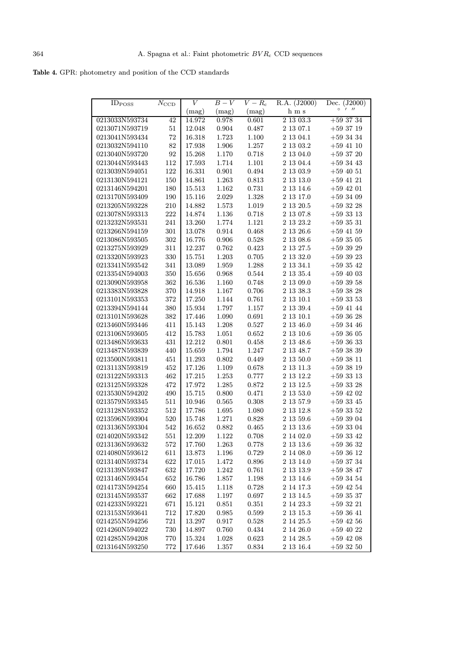|  |  |  | Table 4. GPR: photometry and position of the CCD standards |
|--|--|--|------------------------------------------------------------|
|--|--|--|------------------------------------------------------------|

| <b>ID</b> <sub>POSS</sub> | $\overline{N}_{\text{CCD}}$ | V          | $B-V$       | $\overline{V-R_{\rm c}}$ | R.A. (J2000)  | Dec. (J2000)               |
|---------------------------|-----------------------------|------------|-------------|--------------------------|---------------|----------------------------|
|                           |                             | (mag)      | (mag)       | (mag)                    | h m s         | $\circ$<br>1 <sub>11</sub> |
| 0213033N593734            | 42                          | 14.972     | 0.978       | 0.601                    | 2 13 03.3     | $+593734$                  |
| 0213071N593719            | 51                          | 12.048     | $\,0.904\,$ | 0.487                    | 2 13 07.1     | $+593719$                  |
| 0213041N593434            | 72                          | 16.318     | 1.723       | 1.100                    | 2 13 04.1     | $+59$ 34 34                |
| 0213032N594110            | 82                          | 17.938     | 1.906       | 1.257                    | $2\;13\;03.2$ | $+59$ 41 10                |
| 0213040N593720            | 92                          | 15.268     | 1.170       | 0.718                    | 2 13 04.0     | $+59$ 37 20                |
| 0213044N593443            | 112                         | 17.593     | 1.714       | 1.101                    | $2\;13\;04.4$ | $+593443$                  |
| 0213039N594051            | 122                         | 16.331     | 0.901       | 0.494                    | $2\ 13\ 03.9$ | $+59$ 40 51                |
| 0213130N594121            | 150                         | 14.861     | 1.263       | 0.813                    | 2 13 13.0     | $+59$ 41 21                |
| 0213146N594201            | 180                         | 15.513     | 1.162       | 0.731                    | $2\ 13\ 14.6$ | $+59$ 42 01                |
| 0213170N593409            | 190                         | $15.116\,$ | 2.029       | 1.328                    | 2 13 17.0     | $+593409$                  |
| 0213205N593228            | 210                         | 14.882     | 1.573       | 1.019                    | 2 13 20.5     | $+593228$                  |
| 0213078N593313            | 222                         | 14.874     | 1.136       | 0.718                    | $2\ 13\ 07.8$ | $+593313$                  |
| 0213232N593531            | 241                         | 13.260     | 1.774       | 1.121                    | 2 13 23.2     | $+593531$                  |
| 0213266N594159            | 301                         | 13.078     | 0.914       | 0.468                    | $2\;13\;26.6$ | $+59$ 41 59                |
| 0213086N593505            | 302                         | 16.776     | 0.906       | 0.528                    | $2\ 13\ 08.6$ | $+593505$                  |
| 0213275N593929            | 311                         | 12.237     | 0.762       | 0.423                    | 2 13 27.5     | $+593929$                  |
| 0213320N593923            | 330                         | 15.751     | 1.203       | 0.705                    | 2 13 32.0     | $+593923$                  |
| 0213341N593542            | 341                         | 13.089     | 1.959       | 1.288                    | 2 13 34.1     | $+593542$                  |
| 0213354N594003            | 350                         | 15.656     | 0.968       | 0.544                    | 2 13 35.4     | $+59$ 40 03                |
| 0213090N593958            | 362                         | 16.536     | 1.160       | 0.748                    | 2 13 09.0     | $+593958$                  |
| 0213383N593828            | 370                         | 14.918     | 1.167       | 0.706                    | $2\ 13\ 38.3$ | $+593828$                  |
| 0213101N593353            | 372                         | 17.250     | 1.144       | 0.761                    | 2 13 10.1     | $+593353$                  |
| 0213394N594144            | 380                         | 15.934     | 1.797       | 1.157                    | 2 13 39.4     | $+59$ 41 44                |
| 0213101N593628            | 382                         | 17.446     | 1.090       | 0.691                    | $2\ 13\ 10.1$ | $+593628$                  |
| 0213460N593446            | 411                         | 15.143     | 1.208       | $0.527\,$                | 2 13 46.0     | $+593446$                  |
| 0213106N593605            | 412                         | 15.783     | 1.051       | 0.652                    | $2\;13\;10.6$ | $+593605$                  |
| 0213486N593633            | 431                         | 12.212     | 0.801       | 0.458                    | $2\;13\;48.6$ | $+593633$                  |
| 0213487N593839            | 440                         | 15.659     | 1.794       | 1.247                    | 2 13 48.7     | $+59$ 38 39                |
| 0213500N593811            | 451                         | 11.293     | 0.802       | 0.449                    | 2 13 50.0     | $+593811$                  |
| 0213113N593819            | 452                         | 17.126     | 1.109       | 0.678                    | 2 13 11.3     | $+593819$                  |
| 0213122N593313            | 462                         | 17.215     | 1.253       | 0.777                    | 2 13 12.2     | $+593313$                  |
| 0213125N593328            | 472                         | 17.972     | 1.285       | 0.872                    | $2\ 13\ 12.5$ | $+59$ 33 28                |
| 0213530N594202            | 490                         | 15.715     | 0.800       | 0.471                    | $2\ 13\ 53.0$ | $+59$ 42 02                |
| 0213579N593345            | 511                         | 10.946     | 0.565       | 0.308                    | 2 13 57.9     | $+593345$                  |
| $0213128\mathbf{N}593352$ | 512                         | 17.786     | 1.695       | 1.080                    | 2 13 12.8     | $+593352$                  |
| 0213596N593904            | 520                         | 15.748     | 1.271       | 0.828                    | 2 13 59.6     | $+593904$                  |
| 0213136N593304            | 542                         | 16.652     | 0.882       | 0.465                    | 2 13 13.6     | $+593304$                  |
| 0214020N593342            | 551                         | 12.209     | 1.122       | 0.708                    | 2 14 02.0     | $+593342$                  |
| 0213136N593632            | $572\,$                     | 17.760     | $1.263\,$   | 0.778                    | $2\ 13\ 13.6$ | $+59\ 36\ 32$              |
| 0214080N593612            | 611                         | 13.873     | 1.196       | 0.729                    | 2 14 08.0     | $+593612$                  |
| 0213140N593734            | 622                         | 17.015     | 1.472       | 0.896                    | 2 13 14.0     | $+593734$                  |
| 0213139N593847            | 632                         | 17.720     | 1.242       | 0.761                    | 2 13 13.9     | $+593847$                  |
| 0213146N593454            | 652                         | 16.786     | 1.857       | 1.198                    | 2 13 14.6     | $+593454$                  |
| 0214173N594254            | 660                         | 15.415     | 1.118       | 0.728                    | 2 14 17.3     | $+59\ 42\ 54$              |
| 0213145N593537            | 662                         | 17.688     | 1.197       | 0.697                    | 2 13 14.5     | $+593537$                  |
| 0214233N593221            | 671                         | 15.121     | 0.851       | 0.351                    | 2 14 23.3     | $+593221$                  |
| 0213153N593641            | 712                         | 17.820     | 0.985       | 0.599                    | 2 13 15.3     | $+593641$                  |
| 0214255N594256            | $721\,$                     | 13.297     | 0.917       | 0.528                    | 2 14 25.5     | $+59$ 42 56                |
| 0214260N594022            | $730\,$                     | 14.897     | 0.760       | 0.434                    | 2 14 26.0     | $+59$ 40 22                |
| 0214285N594208            | 770                         | 15.324     | 1.028       | 0.623                    | 2 14 28.5     | $+59$ 42 08                |
| 0213164N593250            | 772                         | 17.646     | 1.357       | 0.834                    | 2 13 16.4     | $+59\ 32\ 50$              |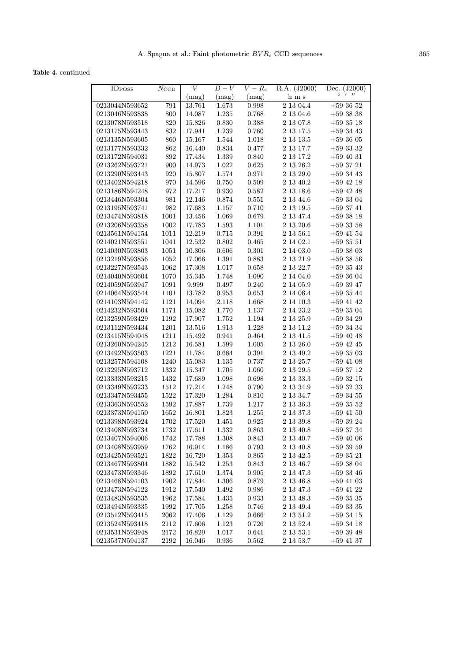Table 4. continued

| <b>IDPOSS</b>  |               | V               | $B-V$     | $V-R_{\rm c}$ | R.A. (J2000)  | (J2000)<br>Dec.            |
|----------------|---------------|-----------------|-----------|---------------|---------------|----------------------------|
|                | $N_{\rm CCD}$ |                 | (mag)     | (mag)         | h m s         | $\circ$<br>1 <sub>11</sub> |
| 0213044N593652 | 791           | (mag)<br>13.761 | 1.673     | 0.998         | 2 13 04.4     | $+593652$                  |
|                |               |                 |           |               |               |                            |
| 0213046N593838 | 800           | 14.087          | 1.235     | 0.768         | 2 13 04.6     | $+59$ 38 38                |
| 0213078N593518 | 820           | 15.826          | 0.830     | 0.388         | $2\;13\;07.8$ | $+59$ 35 18                |
| 0213175N593443 | 832           | 17.941          | 1.239     | 0.760         | $2\ 13\ 17.5$ | $+59$ 34 43                |
| 0213135N593605 | 860           | 15.167          | 1.544     | 1.018         | $2\ 13\ 13.5$ | $+593605$                  |
| 0213177N593332 | 862           | 16.440          | 0.834     | 0.477         | $2\;13\;17.7$ | $+593332$                  |
| 0213172N594031 | 892           | 17.434          | 1.339     | 0.840         | 2 13 17.2     | $+59$ 40 31                |
| 0213262N593721 | 900           | 14.973          | 1.022     | 0.625         | 2 13 26.2     | $+593721$                  |
| 0213290N593443 | 920           | 15.807          | 1.574     | 0.971         | 2 13 29.0     | $+593443$                  |
| 0213402N594218 | 970           | 14.596          | 0.750     | 0.509         | 2 13 40.2     | $+59$ 42 18                |
| 0213186N594248 | 972           | 17.217          | 0.930     | 0.582         | 2 13 18.6     | $+59$ 42 48                |
| 0213446N593304 | 981           | 12.146          | 0.874     | 0.551         | 2 13 44.6     | $+593304$                  |
| 0213195N593741 | 982           | 17.683          | 1.157     | 0.710         | 2 13 19.5     | $+593741$                  |
| 0213474N593818 | 1001          | 13.456          | 1.069     | 0.679         | 2 13 47.4     | $+593818$                  |
| 0213206N593358 | 1002          | 17.783          | 1.593     | 1.101         | $2\ 13\ 20.6$ | $+59\ 33\ 58$              |
| 0213561N594154 | 1011          | 12.219          | 0.715     | 0.391         | 2 13 56.1     | $+59$ 41 54                |
| 0214021N593551 | 1041          | 12.532          | 0.802     | 0.465         | 2 14 02.1     | $+593551$                  |
| 0214030N593803 | 1051          | 10.306          | 0.606     | 0.301         | 2 14 03.0     | $+593803$                  |
| 0213219N593856 | 1052          | 17.066          | 1.391     | 0.883         | 2 13 21.9     | $+593856$                  |
| 0213227N593543 | 1062          | 17.308          | 1.017     | 0.658         | 2 13 22.7     | $+593543$                  |
| 0214040N593604 | 1070          | 15.345          | 1.748     | 1.090         | 2 14 04.0     | $+593604$                  |
| 0214059N593947 | 1091          | 9.999           | 0.497     | 0.240         | 2 14 05.9     | $+593947$                  |
| 0214064N593544 | 1101          | 13.782          | 0.953     | 0.653         | 2 14 06.4     | $+593544$                  |
| 0214103N594142 | 1121          | 14.094          | 2.118     | 1.668         | 2 14 10.3     | $+59$ 41 42                |
| 0214232N593504 | 1171          | 15.082          | 1.770     | 1.137         | 2 14 23.2     | $+593504$                  |
| 0213259N593429 | 1192          | 17.907          | 1.752     | 1.194         | 2 13 25.9     | $+593429$                  |
| 0213112N593434 | 1201          | 13.516          | 1.913     | 1.228         | 2 13 11.2     | $+593434$                  |
| 0213415N594048 | 1211          | 15.492          | 0.941     | 0.464         | $2\ 13\ 41.5$ | $+59$ 40 48                |
| 0213260N594245 | 1212          | 16.581          | 1.599     | 1.005         | $2\;13\;26.0$ | $+59$ 42 45                |
| 0213492N593503 | 1221          | 11.784          | 0.684     | 0.391         | 2 13 49.2     | $+593503$                  |
| 0213257N594108 | 1240          | 15.083          | 1.135     | 0.737         | 2 13 25.7     | $+59$ 41 08                |
| 0213295N593712 | 1332          | 15.347          | 1.705     | 1.060         | $2\ 13\ 29.5$ | $+593712$                  |
| 0213333N593215 | 1432          | 17.689          | 1.098     | 0.698         | $2\ 13\ 33.3$ | $+593215$                  |
| 0213349N593233 | 1512          | 17.214          | 1.248     | 0.790         | 2 13 34.9     | $+593233$                  |
| 0213347N593455 | 1522          | 17.320          | 1.284     | 0.810         | 2 13 34.7     | $+593455$                  |
| 0213363N593552 | 1592          | 17.887          | 1.739     | 1.217         | 2 13 36.3     | $+593552$                  |
| 0213373N594150 | 1652          | 16.801          | 1.823     | 1.255         | 2 13 37.3     | $+59$ 41 50                |
| 0213398N593924 | 1702          | 17.520          | 1.451     | 0.925         | $2\ 13\ 39.8$ | $+59$ 39 24                |
| 0213408N593734 | 1732          | 17.611          | $1.332\,$ | $\,0.863\,$   | $2\ 13\ 40.8$ | $+59\ 37\ 34$              |
| 0213407N594006 | 1742          |                 |           | 0.843         | $2\ 13\ 40.7$ |                            |
|                |               | 17.788          | 1.308     |               |               | $+59$ 40 06                |
| 0213408N593959 | 1762          | 16.914          | 1.186     | 0.793         | 2 13 40.8     | $+593959$                  |
| 0213425N593521 | 1822          | 16.720          | 1.353     | 0.865         | 2 13 42.5     | $+593521$                  |
| 0213467N593804 | 1882          | 15.542          | 1.253     | 0.843         | 2 13 46.7     | $+593804$                  |
| 0213473N593346 | 1892          | 17.610          | 1.374     | 0.905         | 2 13 47.3     | $+59\ 33\ 46$              |
| 0213468N594103 | 1902          | 17.844          | 1.306     | 0.879         | 2 13 46.8     | $+59$ 41 03                |
| 0213473N594122 | 1912          | 17.540          | 1.492     | 0.986         | 2 13 47.3     | $+59$ 41 22                |
| 0213483N593535 | 1962          | 17.584          | 1.435     | 0.933         | 2 13 48.3     | $+593535$                  |
| 0213494N593335 | 1992          | 17.705          | 1.258     | 0.746         | 2 13 49.4     | $+5933335$                 |
| 0213512N593415 | 2062          | 17.406          | 1.129     | 0.666         | 2 13 51.2     | $+593415$                  |
| 0213524N593418 | $2112\,$      | 17.606          | 1.123     | 0.726         | $2\ 13\ 52.4$ | $+593418$                  |
| 0213531N593948 | 2172          | 16.829          | 1.017     | 0.641         | 2 13 53.1     | $+593948$                  |
| 0213537N594137 | 2192          | 16.046          | 0.936     | 0.562         | 2 13 53.7     | $+59$ 41 37                |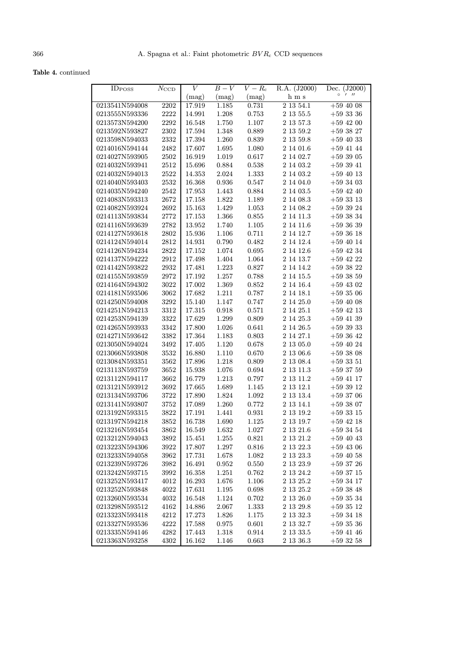Table 4. continued

| <b>IDPOSS</b>                    |               | V                | $B-V$     | $\overline{V-R_{\rm c}}$ | R.A. (J2000)           | (J2000)<br>Dec.        |
|----------------------------------|---------------|------------------|-----------|--------------------------|------------------------|------------------------|
|                                  | $N_{\rm CCD}$ |                  |           |                          | h m s                  | $\circ$<br>$1$ $11$    |
|                                  | 2202          | (mag)            | (mag)     | (mag)                    | 2 13 54.1              |                        |
| 0213541N594008                   |               | 17.919           | 1.185     | 0.731                    |                        | $+59$ 40 08            |
| 0213555N593336                   | $2222\,$      | 14.991           | 1.208     | 0.753                    | $2\;13\;55.5$          | $+593336$              |
| 0213573N594200                   | 2292          | 16.548           | 1.750     | 1.107                    | $2\ 13\ 57.3$          | $+59$ 42 00            |
| 0213592N593827                   | 2302          | 17.594           | 1.348     | 0.889                    | 2 13 59.2              | $+593827$              |
| 0213598N594033                   | 2332          | 17.394           | 1.260     | 0.839                    | 2 13 59.8              | $+59$ 40 33            |
| 0214016N594144                   | 2482          | 17.607           | 1.695     | 1.080                    | 2 14 01.6              | $+59$ 41 44            |
| 0214027N593905                   | 2502          | 16.919           | 1.019     | 0.617                    | 2 14 02.7              | $+593905$              |
| 0214032N593941                   | 2512          | 15.696           | 0.884     | 0.538                    | 2 14 03.2              | $+593941$              |
| 0214032N594013                   | 2522          | 14.353           | 2.024     | 1.333                    | 2 14 03.2              | $+59$ 40 13            |
| 0214040N593403                   | 2532          | 16.368           | 0.936     | 0.547                    | 2 14 04.0              | $+593403$              |
| 0214035N594240                   | 2542          | 17.953           | 1.443     | 0.884                    | 2 14 03.5              | $+59$ 42 40            |
| 0214083N593313                   | 2672          | 17.158           | 1.822     | 1.189                    | 2 14 08.3              | $+593313$              |
| 0214082N593924                   | 2692          | 15.163           | 1.429     | 1.053                    | 2 14 08.2              | $+593924$              |
| 0214113N593834                   | 2772          | 17.153           | 1.366     | 0.855                    | 2 14 11.3              | $+593834$              |
| 0214116N593639                   | 2782          | 13.952           | 1.740     | 1.105                    | 2 14 11.6              | $+593639$              |
| 0214127N593618                   | 2802          | 15.936           | 1.106     | 0.711                    | 2 14 12.7              | $+593618$              |
| 0214124N594014                   | 2812          | 14.931           | 0.790     | 0.482                    | 2 14 12.4              | $+59$ 40 14            |
| 0214126N594234                   | 2822          | 17.152           | 1.074     | 0.695                    | 2 14 12.6              | $+59$ 42 34            |
| 0214137N594222                   | 2912          | 17.498           | 1.404     | 1.064                    | 2 14 13.7              | $+59$ 42 22            |
| 0214142N593822                   | 2932          | 17.481           | 1.223     | 0.827                    | 2 14 14.2              | $+593822$              |
| 0214155N593859                   | 2972          | 17.192           | 1.257     | 0.788                    | 2 14 15.5              | $+593859$              |
| 0214164N594302                   | 3022          | 17.002           | 1.369     | 0.852                    | $2\ 14\ 16.4$          | $+59$ 43 02            |
| 0214181N593506                   | 3062          | 17.682           | 1.211     | 0.787                    | $2\ 14\ 18.1$          | $+593506$              |
| 0214250N594008                   | 3292          | 15.140           | 1.147     | 0.747                    | 2 14 25.0              | $+59$ 40 08            |
| 0214251N594213                   | 3312          | 17.315           | 0.918     | 0.571                    | 2 14 25.1              | $+59$ 42 13            |
| 0214253N594139                   | 3322          | 17.629           | 1.299     | 0.809                    | 2 14 25.3              | $+59$ 41 39            |
| 0214265N593933                   | 3342          | 17.800           | 1.026     | 0.641                    | 2 14 26.5              | $+593933$              |
| 0214271N593642                   | 3382          | 17.364           | 1.183     | 0.803                    | 2 14 27.1              | $+593642$              |
| 0213050N594024                   | 3492          | 17.405           | 1.120     | 0.678                    | 2 13 05.0              | $+59$ 40 24            |
| 0213066N593808                   | 3532          | 16.880           | 1.110     | 0.670                    | 2 13 06.6              | $+593808$              |
| 0213084N593351                   | 3562          | 17.896           | 1.218     | 0.809                    | 2 13 08.4              | $+593351$              |
| 0213113N593759                   | 3652          | 15.938           | 1.076     | 0.694                    | 2 13 11.3              | $+593759$              |
| 0213112N594117                   | 3662          | 16.779           | 1.213     | 0.797                    | 2 13 11.2              | $+59$ 41 17            |
| 0213121N593912                   | 3692          | 17.665           | 1.689     | 1.145                    | 2 13 12.1              | $+593912$              |
| 0213134N593706                   | 3722          | 17.890           | 1.824     | 1.092                    | 2 13 13.4              | $+593706$              |
| 0213141N593807                   | 3752          | 17.089           | 1.260     | 0.772                    | 2 13 14.1              | $+593807$              |
| 0213192N593315                   | 3822          | 17.191           | 1.441     | $\,0.931\,$              | 2 13 19.2              | $+593315$              |
| 0213197N594218                   | 3852          | 16.738           | 1.690     | 1.125                    | 2 13 19.7              | $+59$ 42 18            |
| 0213216N593454                   | $3862\,$      | 16.549           | 1.632     | $1.027\,$                | $2\ 13\ 21.6$          | $+59\ 34\ 54$          |
| 0213212N594043                   | 3892          | 15.451           | 1.255     | 0.821                    | 2 13 21.2              | $+59$ 40 43            |
| 0213223N594306                   | 3922          | 17.807           | $1.297\,$ | 0.816                    | 2 13 22.3              | $+59$ 43 06            |
| 0213233N594058                   | 3962          | 17.731           | 1.678     | 1.082                    | 2 13 23.3              | $+59$ 40 58            |
| 0213239N593726                   | 3982          | 16.491           |           |                          |                        | $+593726$              |
|                                  |               |                  | 0.952     | 0.550                    | 2 13 23.9              |                        |
| 0213242N593715<br>0213252N593417 | 3992<br>4012  | 16.358<br>16.293 | $1.251\,$ | 0.762<br>1.106           | 2 13 24.2<br>2 13 25.2 | $+593715$<br>$+593417$ |
|                                  |               |                  | 1.676     |                          |                        |                        |
| 0213252N593848                   | 4022          | 17.631           | 1.195     | 0.698                    | 2 13 25.2              | $+593848$              |
| 0213260N593534                   | 4032          | 16.548           | 1.124     | 0.702                    | 2 13 26.0              | $+593534$              |
| 0213298N593512                   | 4162          | 14.886           | 2.067     | 1.333                    | 2 13 29.8              | $+593512$              |
| 0213323N593418                   | 4212          | 17.273           | 1.826     | 1.175                    | 2 13 32.3              | $+593418$              |
| 0213327N593536                   | 4222          | 17.588           | 0.975     | 0.601                    | $2\ 13\ 32.7$          | $+59\ 35\ 36$          |
| 0213335N594146                   | 4282          | 17.443           | 1.318     | 0.914                    | 2 13 33.5              | $+59$ 41 46            |
| 0213363N593258                   | 4302          | 16.162           | 1.146     | 0.663                    | 2 13 36.3              | $+593258$              |